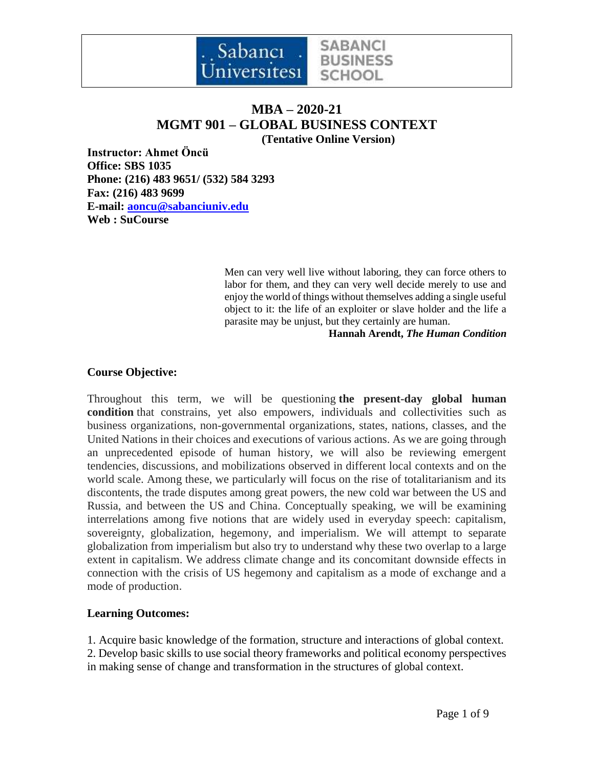

# **MBA – 2020-21 MGMT 901 – GLOBAL BUSINESS CONTEXT (Tentative Online Version)**

**Instructor: Ahmet Öncü Office: SBS 1035 Phone: (216) 483 9651/ (532) 584 3293 Fax: (216) 483 9699 E-mail: [aoncu@sabanciuniv.edu](mailto:aoncu@sabanciuniv.edu) Web : SuCourse**

> Men can very well live without laboring, they can force others to labor for them, and they can very well decide merely to use and enjoy the world of things without themselves adding a single useful object to it: the life of an exploiter or slave holder and the life a parasite may be unjust, but they certainly are human.

**Hannah Arendt,** *The Human Condition*

#### **Course Objective:**

Throughout this term, we will be questioning **the present-day global human condition** that constrains, yet also empowers, individuals and collectivities such as business organizations, non-governmental organizations, states, nations, classes, and the United Nations in their choices and executions of various actions. As we are going through an unprecedented episode of human history, we will also be reviewing emergent tendencies, discussions, and mobilizations observed in different local contexts and on the world scale. Among these, we particularly will focus on the rise of totalitarianism and its discontents, the trade disputes among great powers, the new cold war between the US and Russia, and between the US and China. Conceptually speaking, we will be examining interrelations among five notions that are widely used in everyday speech: capitalism, sovereignty, globalization, hegemony, and imperialism. We will attempt to separate globalization from imperialism but also try to understand why these two overlap to a large extent in capitalism. We address climate change and its concomitant downside effects in connection with the crisis of US hegemony and capitalism as a mode of exchange and a mode of production.

#### **Learning Outcomes:**

1. Acquire basic knowledge of the formation, structure and interactions of global context. 2. Develop basic skills to use social theory frameworks and political economy perspectives in making sense of change and transformation in the structures of global context.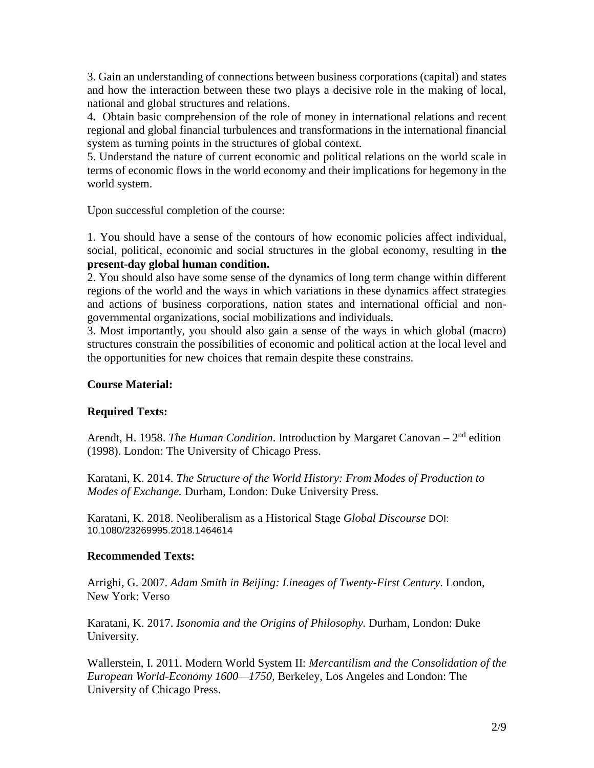3. Gain an understanding of connections between business corporations (capital) and states and how the interaction between these two plays a decisive role in the making of local, national and global structures and relations.

4**.** Obtain basic comprehension of the role of money in international relations and recent regional and global financial turbulences and transformations in the international financial system as turning points in the structures of global context.

5. Understand the nature of current economic and political relations on the world scale in terms of economic flows in the world economy and their implications for hegemony in the world system.

Upon successful completion of the course:

1. You should have a sense of the contours of how economic policies affect individual, social, political, economic and social structures in the global economy, resulting in **the present-day global human condition.**

2. You should also have some sense of the dynamics of long term change within different regions of the world and the ways in which variations in these dynamics affect strategies and actions of business corporations, nation states and international official and nongovernmental organizations, social mobilizations and individuals.

3. Most importantly, you should also gain a sense of the ways in which global (macro) structures constrain the possibilities of economic and political action at the local level and the opportunities for new choices that remain despite these constrains.

## **Course Material:**

## **Required Texts:**

Arendt, H. 1958. *The Human Condition*. Introduction by Margaret Canovan – 2<sup>nd</sup> edition (1998). London: The University of Chicago Press.

Karatani, K. 2014. *The Structure of the World History: From Modes of Production to Modes of Exchange.* Durham, London: Duke University Press.

Karatani, K. 2018. Neoliberalism as a Historical Stage *Global Discourse* DOI: 10.1080/23269995.2018.1464614

#### **Recommended Texts:**

Arrighi, G. 2007. *Adam Smith in Beijing: Lineages of Twenty-First Century*. London, New York: Verso

Karatani, K. 2017. *Isonomia and the Origins of Philosophy.* Durham, London: Duke University.

Wallerstein, I. 2011. Modern World System II: *Mercantilism and the Consolidation of the European World-Economy 1600—1750,* Berkeley, Los Angeles and London: The University of Chicago Press.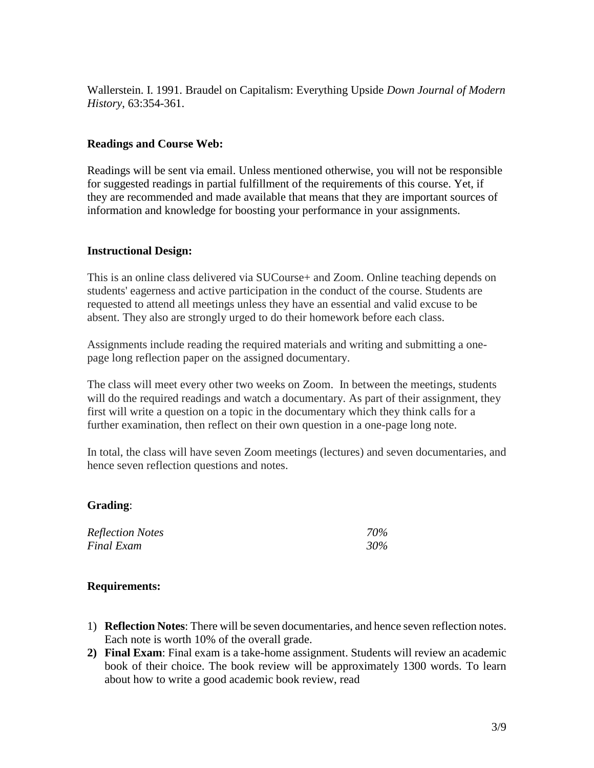Wallerstein. I. 1991. Braudel on Capitalism: Everything Upside *Down Journal of Modern History*, 63:354-361.

### **Readings and Course Web:**

Readings will be sent via email. Unless mentioned otherwise, you will not be responsible for suggested readings in partial fulfillment of the requirements of this course. Yet, if they are recommended and made available that means that they are important sources of information and knowledge for boosting your performance in your assignments.

### **Instructional Design:**

This is an online class delivered via SUCourse+ and Zoom. Online teaching depends on students' eagerness and active participation in the conduct of the course. Students are requested to attend all meetings unless they have an essential and valid excuse to be absent. They also are strongly urged to do their homework before each class.

Assignments include reading the required materials and writing and submitting a onepage long reflection paper on the assigned documentary.

The class will meet every other two weeks on Zoom. In between the meetings, students will do the required readings and watch a documentary. As part of their assignment, they first will write a question on a topic in the documentary which they think calls for a further examination, then reflect on their own question in a one-page long note.

In total, the class will have seven Zoom meetings (lectures) and seven documentaries, and hence seven reflection questions and notes.

#### **Grading**:

| <b>Reflection Notes</b> | 70% |
|-------------------------|-----|
| <b>Final Exam</b>       | 30% |

#### **Requirements:**

- 1) **Reflection Notes**: There will be seven documentaries, and hence seven reflection notes. Each note is worth 10% of the overall grade.
- **2) Final Exam**: Final exam is a take-home assignment. Students will review an academic book of their choice. The book review will be approximately 1300 words. To learn about how to write a good academic book review, read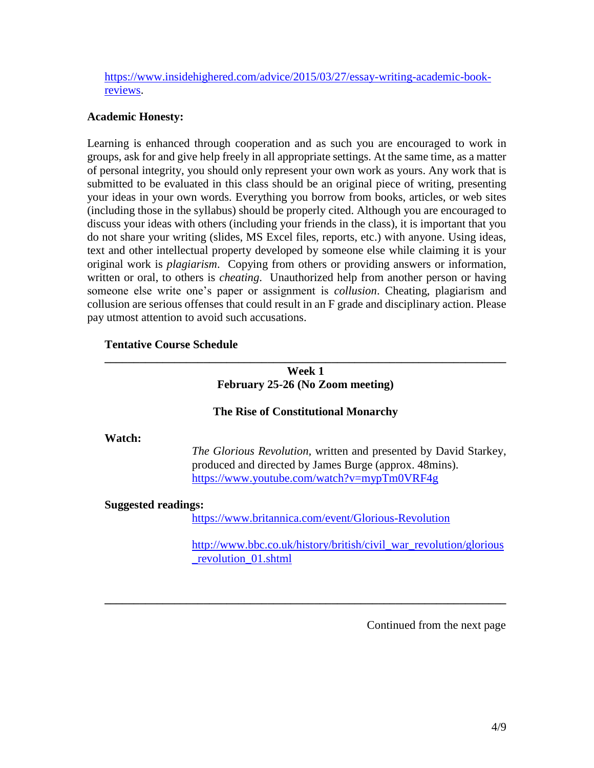[https://www.insidehighered.com/advice/2015/03/27/essay-writing-academic-book](https://www.insidehighered.com/advice/2015/03/27/essay-writing-academic-book-reviews)[reviews.](https://www.insidehighered.com/advice/2015/03/27/essay-writing-academic-book-reviews)

#### **Academic Honesty:**

Learning is enhanced through cooperation and as such you are encouraged to work in groups, ask for and give help freely in all appropriate settings. At the same time, as a matter of personal integrity, you should only represent your own work as yours. Any work that is submitted to be evaluated in this class should be an original piece of writing, presenting your ideas in your own words. Everything you borrow from books, articles, or web sites (including those in the syllabus) should be properly cited. Although you are encouraged to discuss your ideas with others (including your friends in the class), it is important that you do not share your writing (slides, MS Excel files, reports, etc.) with anyone. Using ideas, text and other intellectual property developed by someone else while claiming it is your original work is *plagiarism*. Copying from others or providing answers or information, written or oral, to others is *cheating*. Unauthorized help from another person or having someone else write one's paper or assignment is *collusion*. Cheating, plagiarism and collusion are serious offenses that could result in an F grade and disciplinary action. Please pay utmost attention to avoid such accusations.

## **Tentative Course Schedule**

## **Week 1 February 25-26 (No Zoom meeting)**

**\_\_\_\_\_\_\_\_\_\_\_\_\_\_\_\_\_\_\_\_\_\_\_\_\_\_\_\_\_\_\_\_\_\_\_\_\_\_\_\_\_\_\_\_\_\_\_\_\_\_\_\_\_\_\_\_\_\_\_\_\_\_\_\_\_\_\_\_\_**

## **The Rise of Constitutional Monarchy**

#### **Watch:**

*The Glorious Revolution,* written and presented by David Starkey, produced and directed by James Burge (approx. 48mins). <https://www.youtube.com/watch?v=mypTm0VRF4g>

#### **Suggested readings:**

<https://www.britannica.com/event/Glorious-Revolution>

**\_\_\_\_\_\_\_\_\_\_\_\_\_\_\_\_\_\_\_\_\_\_\_\_\_\_\_\_\_\_\_\_\_\_\_\_\_\_\_\_\_\_\_\_\_\_\_\_\_\_\_\_\_\_\_\_\_\_\_\_\_\_\_\_\_\_\_\_\_**

[http://www.bbc.co.uk/history/british/civil\\_war\\_revolution/glorious](http://www.bbc.co.uk/history/british/civil_war_revolution/glorious_revolution_01.shtml) [\\_revolution\\_01.shtml](http://www.bbc.co.uk/history/british/civil_war_revolution/glorious_revolution_01.shtml)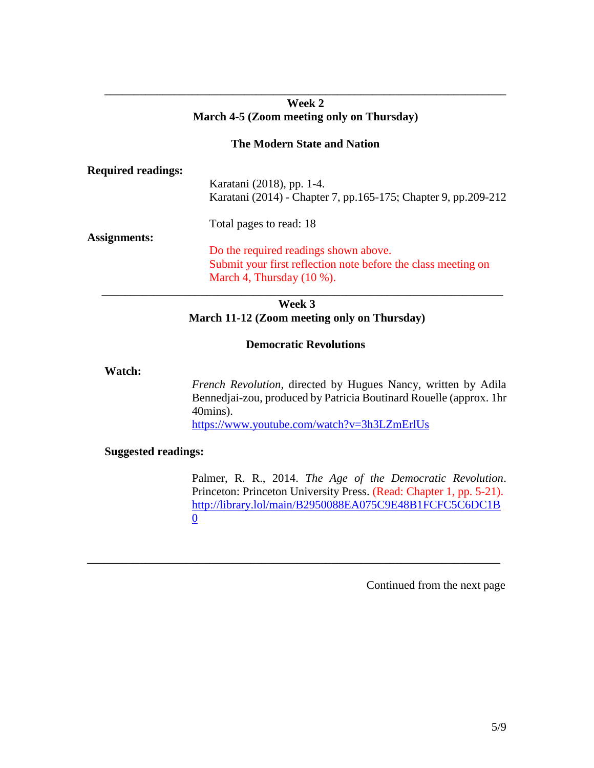### **Week 2 March 4-5 (Zoom meeting only on Thursday)**

**\_\_\_\_\_\_\_\_\_\_\_\_\_\_\_\_\_\_\_\_\_\_\_\_\_\_\_\_\_\_\_\_\_\_\_\_\_\_\_\_\_\_\_\_\_\_\_\_\_\_\_\_\_\_\_\_\_\_\_\_\_\_\_\_\_\_\_\_\_**

## **The Modern State and Nation**

## **Required readings:**

Karatani (2018), pp. 1-4. Karatani (2014) - Chapter 7, pp.165-175; Chapter 9, pp.209-212

Total pages to read: 18

## **Assignments:**

 Do the required readings shown above. Submit your first reflection note before the class meeting on March 4, Thursday (10 %). \_\_\_\_\_\_\_\_\_\_\_\_\_\_\_\_\_\_\_\_\_\_\_\_\_\_\_\_\_\_\_\_\_\_\_\_\_\_\_\_\_\_\_\_\_\_\_\_\_\_\_\_\_\_\_\_\_\_\_\_\_\_\_\_\_\_\_\_\_

## **Week 3 March 11-12 (Zoom meeting only on Thursday)**

### **Democratic Revolutions**

\_\_\_\_\_\_\_\_\_\_\_\_\_\_\_\_\_\_\_\_\_\_\_\_\_\_\_\_\_\_\_\_\_\_\_\_\_\_\_\_\_\_\_\_\_\_\_\_\_\_\_\_\_\_\_\_\_\_\_\_\_\_\_\_\_\_\_\_\_\_\_

### **Watch:**

*French Revolution,* directed by Hugues Nancy, written by Adila Bennedjai-zou, produced by Patricia Boutinard Rouelle (approx. 1hr 40mins). <https://www.youtube.com/watch?v=3h3LZmErlUs>

## **Suggested readings:**

Palmer, R. R., 2014. *The Age of the Democratic Revolution*. Princeton: Princeton University Press. (Read: Chapter 1, pp. 5-21). [http://library.lol/main/B2950088EA075C9E48B1FCFC5C6DC1B](http://library.lol/main/B2950088EA075C9E48B1FCFC5C6DC1B0) [0](http://library.lol/main/B2950088EA075C9E48B1FCFC5C6DC1B0)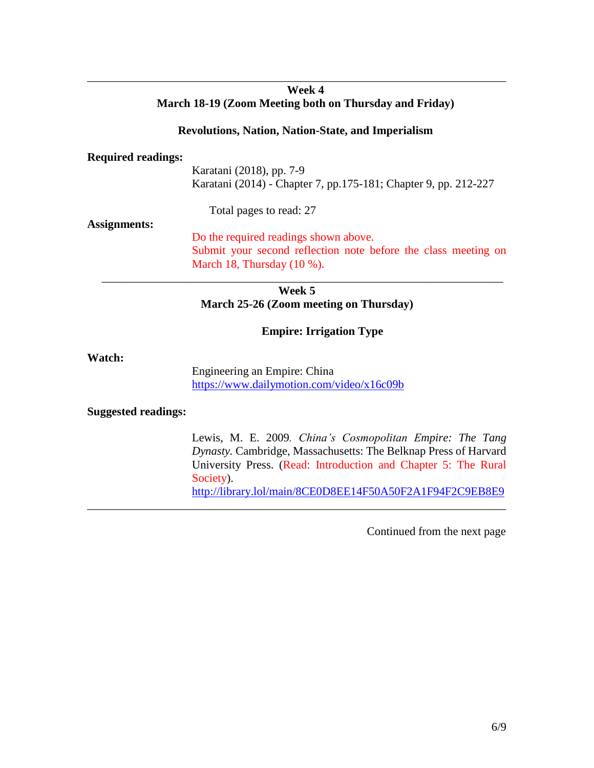## **Week 4 March 18-19 (Zoom Meeting both on Thursday and Friday)**

\_\_\_\_\_\_\_\_\_\_\_\_\_\_\_\_\_\_\_\_\_\_\_\_\_\_\_\_\_\_\_\_\_\_\_\_\_\_\_\_\_\_\_\_\_\_\_\_\_\_\_\_\_\_\_\_\_\_\_\_\_\_\_\_\_\_\_\_\_\_\_\_

#### **Revolutions, Nation, Nation-State, and Imperialism**

#### **Required readings:**

Karatani (2018), pp. 7-9 Karatani (2014) - Chapter 7, pp.175-181; Chapter 9, pp. 212-227

Total pages to read: 27

#### **Assignments:**

Do the required readings shown above. Submit your second reflection note before the class meeting on March 18, Thursday (10 %).

**Week 5 March 25-26 (Zoom meeting on Thursday)**

\_\_\_\_\_\_\_\_\_\_\_\_\_\_\_\_\_\_\_\_\_\_\_\_\_\_\_\_\_\_\_\_\_\_\_\_\_\_\_\_\_\_\_\_\_\_\_\_\_\_\_\_\_\_\_\_\_\_\_\_\_\_\_\_\_\_\_\_\_

### **Empire: Irrigation Type**

#### **Watch:**

Engineering an Empire: China <https://www.dailymotion.com/video/x16c09b>

\_\_\_\_\_\_\_\_\_\_\_\_\_\_\_\_\_\_\_\_\_\_\_\_\_\_\_\_\_\_\_\_\_\_\_\_\_\_\_\_\_\_\_\_\_\_\_\_\_\_\_\_\_\_\_\_\_\_\_\_\_\_\_\_\_\_\_\_\_\_\_\_

#### **Suggested readings:**

Lewis, M. E. 2009*. China's Cosmopolitan Empire: The Tang Dynasty.* Cambridge, Massachusetts: The Belknap Press of Harvard University Press. (Read: Introduction and Chapter 5: The Rural Society). <http://library.lol/main/8CE0D8EE14F50A50F2A1F94F2C9EB8E9>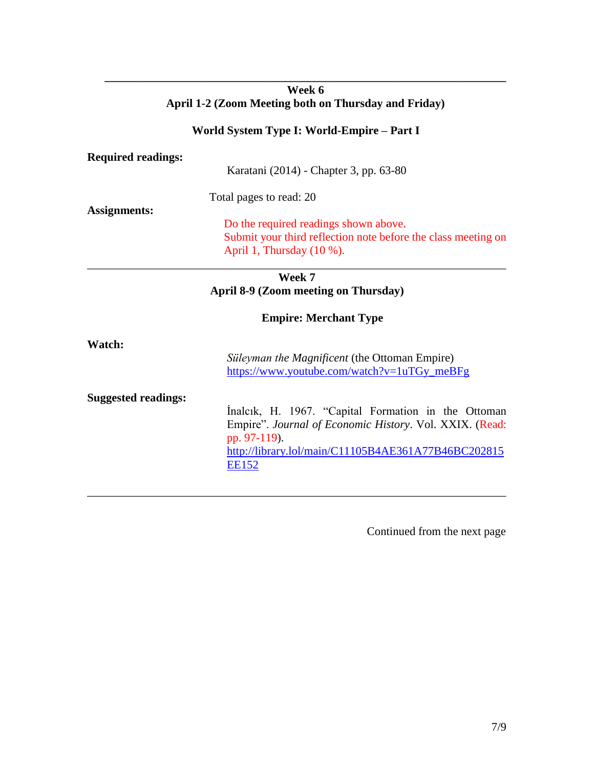## **Week 6 April 1-2 (Zoom Meeting both on Thursday and Friday)**

**\_\_\_\_\_\_\_\_\_\_\_\_\_\_\_\_\_\_\_\_\_\_\_\_\_\_\_\_\_\_\_\_\_\_\_\_\_\_\_\_\_\_\_\_\_\_\_\_\_\_\_\_\_\_\_\_\_\_\_\_\_\_\_\_\_\_\_\_\_**

## **World System Type I: World-Empire – Part I**

| <b>Required readings:</b> |                                                                                                                                        |  |
|---------------------------|----------------------------------------------------------------------------------------------------------------------------------------|--|
|                           | Karatani (2014) - Chapter 3, pp. 63-80                                                                                                 |  |
|                           | Total pages to read: 20                                                                                                                |  |
| <b>Assignments:</b>       | Do the required readings shown above.<br>Submit your third reflection note before the class meeting on<br>April 1, Thursday $(10\%)$ . |  |
|                           | <b>Week 7</b>                                                                                                                          |  |
|                           | April 8-9 (Zoom meeting on Thursday)                                                                                                   |  |
|                           | <b>Empire: Merchant Type</b>                                                                                                           |  |
| Watch:                    |                                                                                                                                        |  |
|                           | Süleyman the Magnificent (the Ottoman Empire)<br>https://www.youtube.com/watch?v=1uTGy_meBFg                                           |  |

\_\_\_\_\_\_\_\_\_\_\_\_\_\_\_\_\_\_\_\_\_\_\_\_\_\_\_\_\_\_\_\_\_\_\_\_\_\_\_\_\_\_\_\_\_\_\_\_\_\_\_\_\_\_\_\_\_\_\_\_\_\_\_\_\_\_\_\_\_\_\_\_

**Suggested readings:** 

İnalcık, H. 1967. "Capital Formation in the Ottoman Empire". *Journal of Economic History*. Vol. XXIX. (Read: pp. 97-119). [http://library.lol/main/C11105B4AE361A77B46BC202815](http://library.lol/main/C11105B4AE361A77B46BC202815EE152) **[EE152](http://library.lol/main/C11105B4AE361A77B46BC202815EE152)**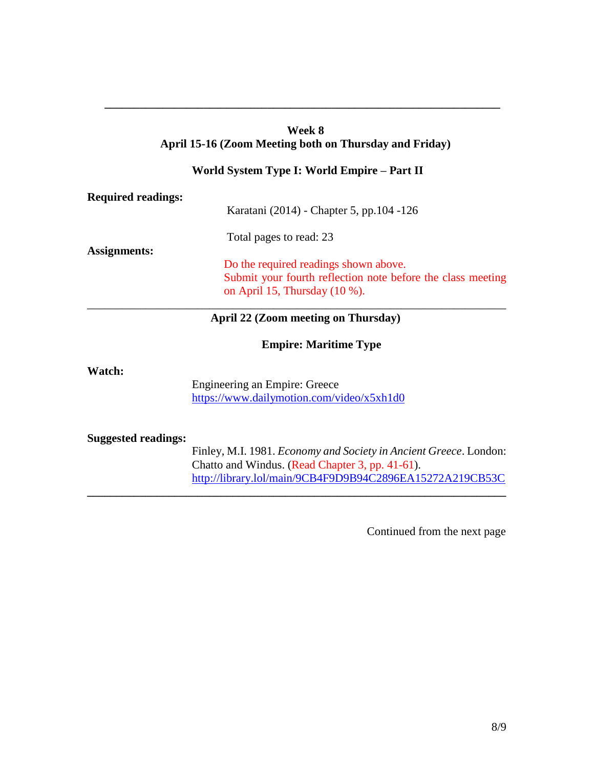# **Week 8 April 15-16 (Zoom Meeting both on Thursday and Friday)**

**\_\_\_\_\_\_\_\_\_\_\_\_\_\_\_\_\_\_\_\_\_\_\_\_\_\_\_\_\_\_\_\_\_\_\_\_\_\_\_\_\_\_\_\_\_\_\_\_\_\_\_\_\_\_\_\_\_\_\_\_\_\_\_\_\_\_\_\_**

## **World System Type I: World Empire – Part II**

| <b>Required readings:</b>  |                                                                                                                                          |
|----------------------------|------------------------------------------------------------------------------------------------------------------------------------------|
|                            | Karatani (2014) - Chapter 5, pp.104 -126                                                                                                 |
| <b>Assignments:</b>        | Total pages to read: 23                                                                                                                  |
|                            | Do the required readings shown above.<br>Submit your fourth reflection note before the class meeting<br>on April 15, Thursday $(10\%)$ . |
|                            | April 22 (Zoom meeting on Thursday)                                                                                                      |
|                            | <b>Empire: Maritime Type</b>                                                                                                             |
| Watch:                     | Engineering an Empire: Greece<br>https://www.dailymotion.com/video/x5xh1d0                                                               |
| <b>Suggested readings:</b> | Finley, M.I. 1981. Economy and Society in Ancient Greece. London:                                                                        |

**\_\_\_\_\_\_\_\_\_\_\_\_\_\_\_\_\_\_\_\_\_\_\_\_\_\_\_\_\_\_\_\_\_\_\_\_\_\_\_\_\_\_\_\_\_\_\_\_\_\_\_\_\_\_\_\_\_\_\_\_\_\_\_\_\_\_\_\_\_\_\_\_**

Chatto and Windus. (Read Chapter 3, pp. 41-61). <http://library.lol/main/9CB4F9D9B94C2896EA15272A219CB53C>